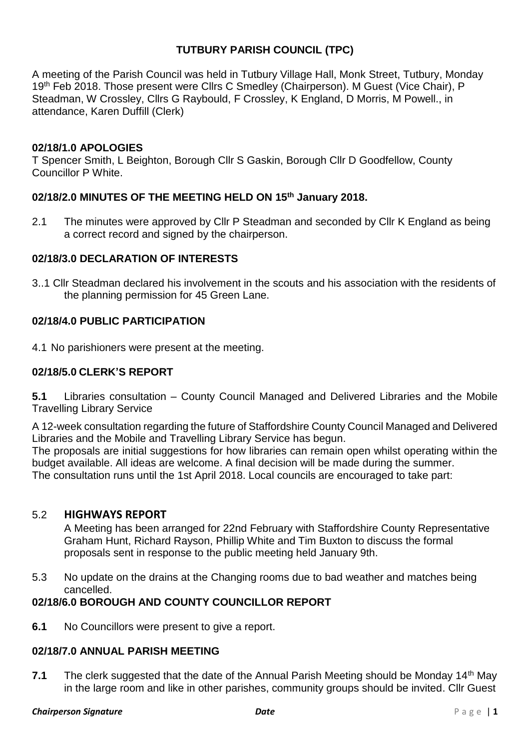# **TUTBURY PARISH COUNCIL (TPC)**

A meeting of the Parish Council was held in Tutbury Village Hall, Monk Street, Tutbury, Monday 19<sup>th</sup> Feb 2018. Those present were Cllrs C Smedley (Chairperson). M Guest (Vice Chair), P Steadman, W Crossley, Cllrs G Raybould, F Crossley, K England, D Morris, M Powell., in attendance, Karen Duffill (Clerk)

## **02/18/1.0 APOLOGIES**

T Spencer Smith, L Beighton, Borough Cllr S Gaskin, Borough Cllr D Goodfellow, County Councillor P White.

## **02/18/2.0 MINUTES OF THE MEETING HELD ON 15 th January 2018.**

2.1 The minutes were approved by Cllr P Steadman and seconded by Cllr K England as being a correct record and signed by the chairperson.

## **02/18/3.0 DECLARATION OF INTERESTS**

3..1 Cllr Steadman declared his involvement in the scouts and his association with the residents of the planning permission for 45 Green Lane.

# **02/18/4.0 PUBLIC PARTICIPATION**

4.1 No parishioners were present at the meeting.

## **02/18/5.0 CLERK'S REPORT**

**5.1** Libraries consultation – County Council Managed and Delivered Libraries and the Mobile Travelling Library Service

A 12-week consultation regarding the future of Staffordshire County Council Managed and Delivered Libraries and the Mobile and Travelling Library Service has begun.

The proposals are initial suggestions for how libraries can remain open whilst operating within the budget available. All ideas are welcome. A final decision will be made during the summer. The consultation runs until the 1st April 2018. Local councils are encouraged to take part:

## 5.2 **HIGHWAYS REPORT**

A Meeting has been arranged for 22nd February with Staffordshire County Representative Graham Hunt, Richard Rayson, Phillip White and Tim Buxton to discuss the formal proposals sent in response to the public meeting held January 9th.

5.3 No update on the drains at the Changing rooms due to bad weather and matches being cancelled.

# **02/18/6.0 BOROUGH AND COUNTY COUNCILLOR REPORT**

**6.1** No Councillors were present to give a report.

## **02/18/7.0 ANNUAL PARISH MEETING**

**7.1** The clerk suggested that the date of the Annual Parish Meeting should be Monday 14<sup>th</sup> May in the large room and like in other parishes, community groups should be invited. Cllr Guest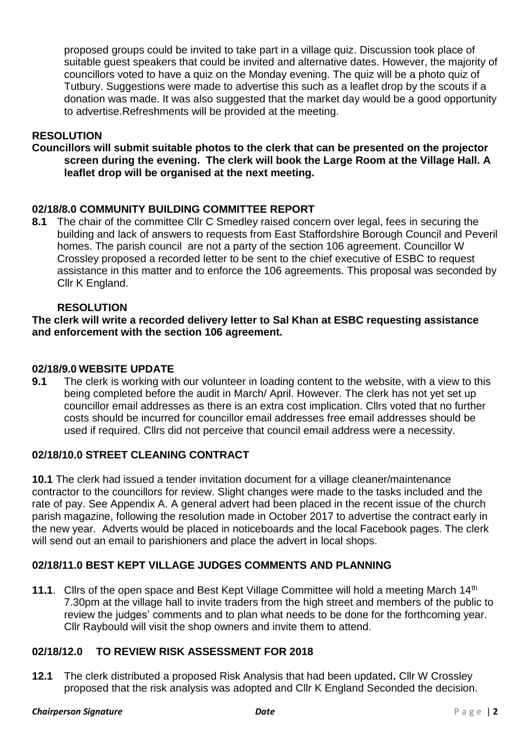proposed groups could be invited to take part in a village quiz. Discussion took place of suitable guest speakers that could be invited and alternative dates. However, the majority of councillors voted to have a quiz on the Monday evening. The quiz will be a photo quiz of Tutbury. Suggestions were made to advertise this such as a leaflet drop by the scouts if a donation was made. It was also suggested that the market day would be a good opportunity to advertise.Refreshments will be provided at the meeting.

# **RESOLUTION**

**Councillors will submit suitable photos to the clerk that can be presented on the projector screen during the evening. The clerk will book the Large Room at the Village Hall. A leaflet drop will be organised at the next meeting.**

## **02/18/8.0 COMMUNITY BUILDING COMMITTEE REPORT**

**8.1** The chair of the committee Cllr C Smedley raised concern over legal, fees in securing the building and lack of answers to requests from East Staffordshire Borough Council and Peveril homes. The parish council are not a party of the section 106 agreement. Councillor W Crossley proposed a recorded letter to be sent to the chief executive of ESBC to request assistance in this matter and to enforce the 106 agreements. This proposal was seconded by Cllr K England.

## **RESOLUTION**

**The clerk will write a recorded delivery letter to Sal Khan at ESBC requesting assistance and enforcement with the section 106 agreement.**

#### **02/18/9.0 WEBSITE UPDATE**

**9.1** The clerk is working with our volunteer in loading content to the website, with a view to this being completed before the audit in March/ April. However. The clerk has not yet set up councillor email addresses as there is an extra cost implication. Cllrs voted that no further costs should be incurred for councillor email addresses free email addresses should be used if required. Cllrs did not perceive that council email address were a necessity.

## **02/18/10.0 STREET CLEANING CONTRACT**

**10.1** The clerk had issued a tender invitation document for a village cleaner/maintenance contractor to the councillors for review. Slight changes were made to the tasks included and the rate of pay. See Appendix A. A general advert had been placed in the recent issue of the church parish magazine, following the resolution made in October 2017 to advertise the contract early in the new year. Adverts would be placed in noticeboards and the local Facebook pages. The clerk will send out an email to parishioners and place the advert in local shops.

## **02/18/11.0 BEST KEPT VILLAGE JUDGES COMMENTS AND PLANNING**

**11.1**. Cllrs of the open space and Best Kept Village Committee will hold a meeting March 14th 7.30pm at the village hall to invite traders from the high street and members of the public to review the judges' comments and to plan what needs to be done for the forthcoming year. Cllr Raybould will visit the shop owners and invite them to attend.

## **02/18/12.0 TO REVIEW RISK ASSESSMENT FOR 2018**

**12.1** The clerk distributed a proposed Risk Analysis that had been updated**.** Cllr W Crossley proposed that the risk analysis was adopted and Cllr K England Seconded the decision.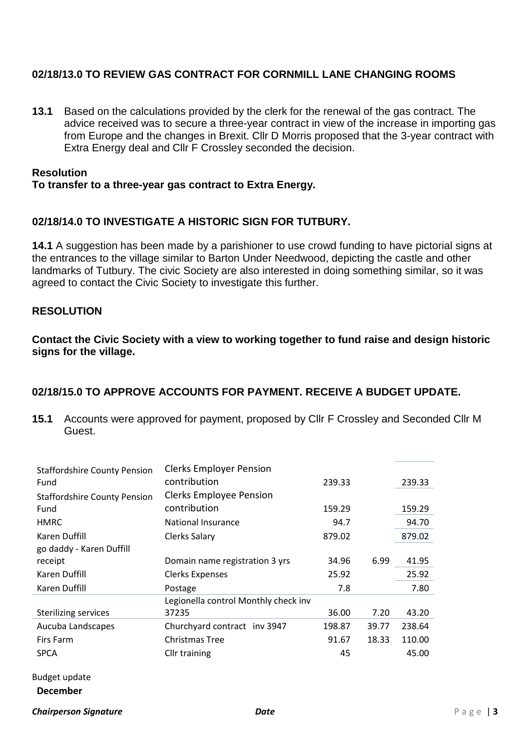# **02/18/13.0 TO REVIEW GAS CONTRACT FOR CORNMILL LANE CHANGING ROOMS**

**13.1** Based on the calculations provided by the clerk for the renewal of the gas contract. The advice received was to secure a three-year contract in view of the increase in importing gas from Europe and the changes in Brexit. Cllr D Morris proposed that the 3-year contract with Extra Energy deal and Cllr F Crossley seconded the decision.

#### **Resolution**

### **To transfer to a three-year gas contract to Extra Energy.**

#### **02/18/14.0 TO INVESTIGATE A HISTORIC SIGN FOR TUTBURY.**

**14.1** A suggestion has been made by a parishioner to use crowd funding to have pictorial signs at the entrances to the village similar to Barton Under Needwood, depicting the castle and other landmarks of Tutbury. The civic Society are also interested in doing something similar, so it was agreed to contact the Civic Society to investigate this further.

# **RESOLUTION**

**Contact the Civic Society with a view to working together to fund raise and design historic signs for the village.**

## **02/18/15.0 TO APPROVE ACCOUNTS FOR PAYMENT. RECEIVE A BUDGET UPDATE.**

**15.1** Accounts were approved for payment, proposed by Cllr F Crossley and Seconded Cllr M Guest.

| <b>Staffordshire County Pension</b> | <b>Clerks Employer Pension</b>       |        |       |        |
|-------------------------------------|--------------------------------------|--------|-------|--------|
| Fund                                | contribution                         | 239.33 |       | 239.33 |
| <b>Staffordshire County Pension</b> | <b>Clerks Employee Pension</b>       |        |       |        |
| Fund                                | contribution                         | 159.29 |       | 159.29 |
| <b>HMRC</b>                         | National Insurance                   | 94.7   |       | 94.70  |
| Karen Duffill                       | <b>Clerks Salary</b>                 | 879.02 |       | 879.02 |
| go daddy - Karen Duffill            |                                      |        |       |        |
| receipt                             | Domain name registration 3 yrs       | 34.96  | 6.99  | 41.95  |
| Karen Duffill                       | <b>Clerks Expenses</b>               | 25.92  |       | 25.92  |
| Karen Duffill                       | Postage                              | 7.8    |       | 7.80   |
|                                     | Legionella control Monthly check inv |        |       |        |
| <b>Sterilizing services</b>         | 37235                                | 36.00  | 7.20  | 43.20  |
| Aucuba Landscapes                   | Churchyard contract inv 3947         | 198.87 | 39.77 | 238.64 |
| Firs Farm                           | Christmas Tree                       | 91.67  | 18.33 | 110.00 |
| <b>SPCA</b>                         | Cllr training                        | 45     |       | 45.00  |
|                                     |                                      |        |       |        |

## Budget update **December**

*Chairperson Signature Date* P a g e | **3**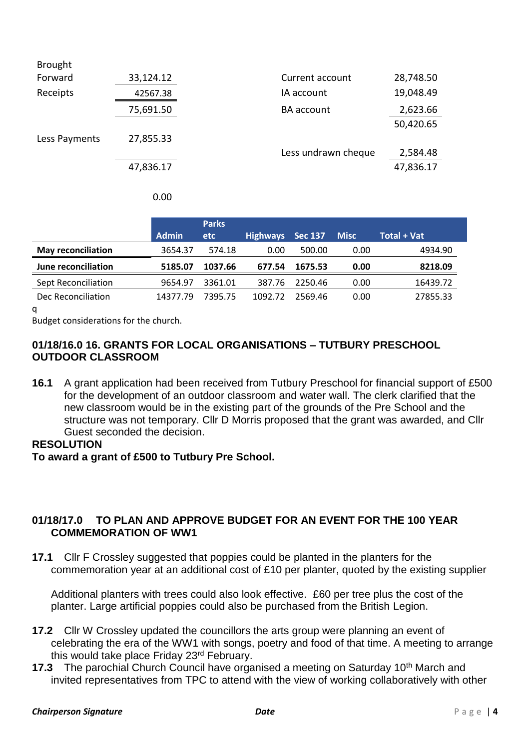| <b>Brought</b> |           |                     |           |
|----------------|-----------|---------------------|-----------|
| Forward        | 33,124.12 | Current account     | 28,748.50 |
| Receipts       | 42567.38  | IA account          | 19,048.49 |
|                | 75,691.50 | <b>BA</b> account   | 2,623.66  |
|                |           |                     | 50,420.65 |
| Less Payments  | 27,855.33 |                     |           |
|                |           | Less undrawn cheque | 2,584.48  |
|                | 47,836.17 |                     | 47,836.17 |
|                |           |                     |           |

|                           |              | <b>Parks</b> |                 |         |             |                    |
|---------------------------|--------------|--------------|-----------------|---------|-------------|--------------------|
|                           | <b>Admin</b> | etc          | <b>Highways</b> | Sec 137 | <b>Misc</b> | <b>Total + Vat</b> |
| <b>May reconciliation</b> | 3654.37      | 574.18       | 0.00            | 500.00  | 0.00        | 4934.90            |
| June reconciliation       | 5185.07      | 1037.66      | 677.54          | 1675.53 | 0.00        | 8218.09            |
| Sept Reconciliation       | 9654.97      | 3361.01      | 387.76          | 2250.46 | 0.00        | 16439.72           |
| Dec Reconciliation        | 14377.79     | 7395.75      | 1092.72         | 2569.46 | 0.00        | 27855.33           |

 $\alpha$ 

Budget considerations for the church.

# **01/18/16.0 16. GRANTS FOR LOCAL ORGANISATIONS – TUTBURY PRESCHOOL OUTDOOR CLASSROOM**

**16.1** A grant application had been received from Tutbury Preschool for financial support of £500 for the development of an outdoor classroom and water wall. The clerk clarified that the new classroom would be in the existing part of the grounds of the Pre School and the structure was not temporary. Cllr D Morris proposed that the grant was awarded, and Cllr Guest seconded the decision.

## **RESOLUTION**

**To award a grant of £500 to Tutbury Pre School.**

## **01/18/17.0 TO PLAN AND APPROVE BUDGET FOR AN EVENT FOR THE 100 YEAR COMMEMORATION OF WW1**

**17.1** Cllr F Crossley suggested that poppies could be planted in the planters for the commemoration year at an additional cost of £10 per planter, quoted by the existing supplier

Additional planters with trees could also look effective. £60 per tree plus the cost of the planter. Large artificial poppies could also be purchased from the British Legion.

- **17.2** Cllr W Crossley updated the councillors the arts group were planning an event of celebrating the era of the WW1 with songs, poetry and food of that time. A meeting to arrange this would take place Friday 23<sup>rd</sup> February.
- **17.3** The parochial Church Council have organised a meeting on Saturday 10<sup>th</sup> March and invited representatives from TPC to attend with the view of working collaboratively with other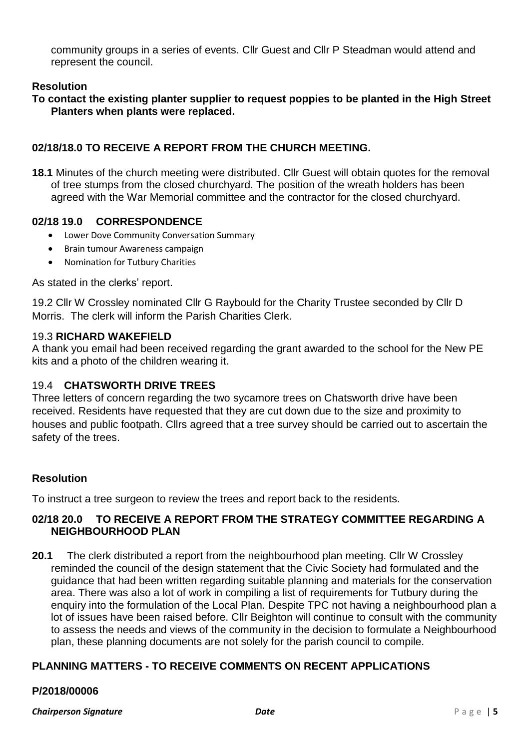community groups in a series of events. Cllr Guest and Cllr P Steadman would attend and represent the council.

# **Resolution**

**To contact the existing planter supplier to request poppies to be planted in the High Street Planters when plants were replaced.**

# **02/18/18.0 TO RECEIVE A REPORT FROM THE CHURCH MEETING.**

**18.1** Minutes of the church meeting were distributed. Cllr Guest will obtain quotes for the removal of tree stumps from the closed churchyard. The position of the wreath holders has been agreed with the War Memorial committee and the contractor for the closed churchyard.

## **02/18 19.0 CORRESPONDENCE**

- Lower Dove Community Conversation Summary
- Brain tumour Awareness campaign
- Nomination for Tutbury Charities

As stated in the clerks' report.

19.2 Cllr W Crossley nominated Cllr G Raybould for the Charity Trustee seconded by Cllr D Morris. The clerk will inform the Parish Charities Clerk.

#### 19.3 **RICHARD WAKEFIELD**

A thank you email had been received regarding the grant awarded to the school for the New PE kits and a photo of the children wearing it.

## 19.4 **CHATSWORTH DRIVE TREES**

Three letters of concern regarding the two sycamore trees on Chatsworth drive have been received. Residents have requested that they are cut down due to the size and proximity to houses and public footpath. Cllrs agreed that a tree survey should be carried out to ascertain the safety of the trees.

## **Resolution**

To instruct a tree surgeon to review the trees and report back to the residents.

## **02/18 20.0 TO RECEIVE A REPORT FROM THE STRATEGY COMMITTEE REGARDING A NEIGHBOURHOOD PLAN**

**20.1** The clerk distributed a report from the neighbourhood plan meeting. Cllr W Crossley reminded the council of the design statement that the Civic Society had formulated and the guidance that had been written regarding suitable planning and materials for the conservation area. There was also a lot of work in compiling a list of requirements for Tutbury during the enquiry into the formulation of the Local Plan. Despite TPC not having a neighbourhood plan a lot of issues have been raised before. Cllr Beighton will continue to consult with the community to assess the needs and views of the community in the decision to formulate a Neighbourhood plan, these planning documents are not solely for the parish council to compile.

## **PLANNING MATTERS - TO RECEIVE COMMENTS ON RECENT APPLICATIONS**

## **P/2018/00006**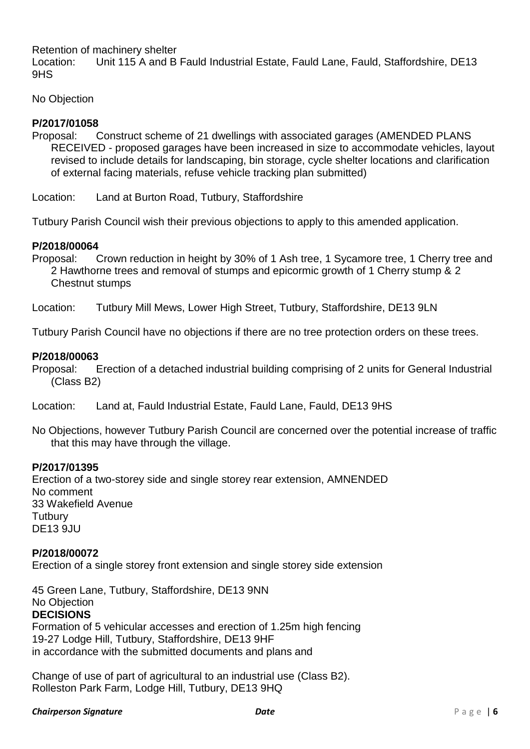Retention of machinery shelter

Location: Unit 115 A and B Fauld Industrial Estate, Fauld Lane, Fauld, Staffordshire, DE13 9HS

No Objection

## **P/2017/01058**

Proposal: Construct scheme of 21 dwellings with associated garages (AMENDED PLANS RECEIVED - proposed garages have been increased in size to accommodate vehicles, layout revised to include details for landscaping, bin storage, cycle shelter locations and clarification of external facing materials, refuse vehicle tracking plan submitted)

Location: Land at Burton Road, Tutbury, Staffordshire

Tutbury Parish Council wish their previous objections to apply to this amended application.

## **P/2018/00064**

Proposal: Crown reduction in height by 30% of 1 Ash tree, 1 Sycamore tree, 1 Cherry tree and 2 Hawthorne trees and removal of stumps and epicormic growth of 1 Cherry stump & 2 Chestnut stumps

Location: Tutbury Mill Mews, Lower High Street, Tutbury, Staffordshire, DE13 9LN

Tutbury Parish Council have no objections if there are no tree protection orders on these trees.

## **P/2018/00063**

Proposal: Erection of a detached industrial building comprising of 2 units for General Industrial (Class B2)

Location: Land at, Fauld Industrial Estate, Fauld Lane, Fauld, DE13 9HS

No Objections, however Tutbury Parish Council are concerned over the potential increase of traffic that this may have through the village.

## **P/2017/01395**

Erection of a two-storey side and single storey rear extension, AMNENDED No comment 33 Wakefield Avenue **Tutbury** DE13 9JU

## **P/2018/00072**

Erection of a single storey front extension and single storey side extension

45 Green Lane, Tutbury, Staffordshire, DE13 9NN No Objection **DECISIONS** Formation of 5 vehicular accesses and erection of 1.25m high fencing 19-27 Lodge Hill, Tutbury, Staffordshire, DE13 9HF

in accordance with the submitted documents and plans and

Change of use of part of agricultural to an industrial use (Class B2). Rolleston Park Farm, Lodge Hill, Tutbury, DE13 9HQ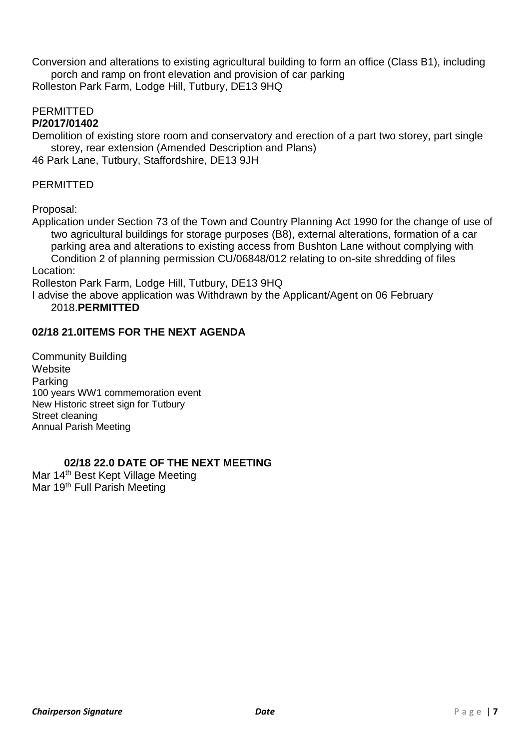Conversion and alterations to existing agricultural building to form an office (Class B1), including porch and ramp on front elevation and provision of car parking

Rolleston Park Farm, Lodge Hill, Tutbury, DE13 9HQ

# PERMITTED

## **P/2017/01402**

Demolition of existing store room and conservatory and erection of a part two storey, part single storey, rear extension (Amended Description and Plans)

46 Park Lane, Tutbury, Staffordshire, DE13 9JH

## PERMITTED

Proposal:

Application under Section 73 of the Town and Country Planning Act 1990 for the change of use of two agricultural buildings for storage purposes (B8), external alterations, formation of a car parking area and alterations to existing access from Bushton Lane without complying with Condition 2 of planning permission CU/06848/012 relating to on-site shredding of files Location:

Rolleston Park Farm, Lodge Hill, Tutbury, DE13 9HQ

I advise the above application was Withdrawn by the Applicant/Agent on 06 February 2018.**PERMITTED**

# **02/18 21.0ITEMS FOR THE NEXT AGENDA**

Community Building **Website** Parking 100 years WW1 commemoration event New Historic street sign for Tutbury Street cleaning Annual Parish Meeting

# **02/18 22.0 DATE OF THE NEXT MEETING**

Mar 14<sup>th</sup> Best Kept Village Meeting Mar 19<sup>th</sup> Full Parish Meeting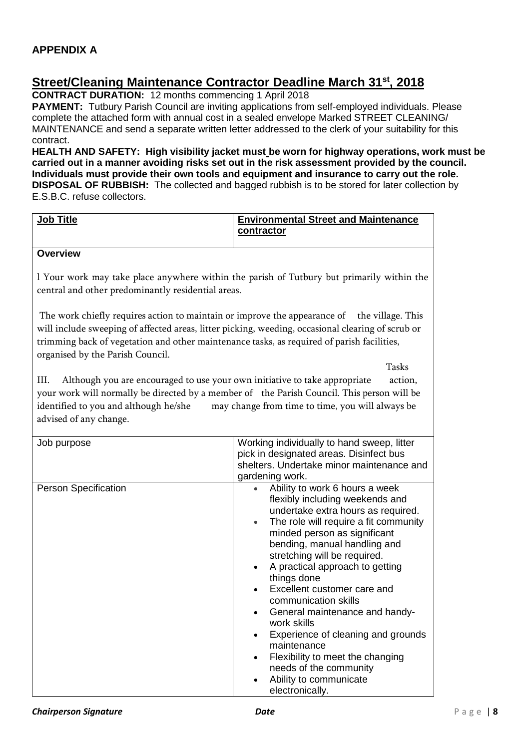# **Street/Cleaning Maintenance Contractor Deadline March 31st, 2018**

**CONTRACT DURATION:** 12 months commencing 1 April 2018

**PAYMENT:** Tutbury Parish Council are inviting applications from self-employed individuals. Please complete the attached form with annual cost in a sealed envelope Marked STREET CLEANING/ MAINTENANCE and send a separate written letter addressed to the clerk of your suitability for this contract.

**HEALTH AND SAFETY: High visibility jacket must be worn for highway operations, work must be carried out in a manner avoiding risks set out in the risk assessment provided by the council. Individuals must provide their own tools and equipment and insurance to carry out the role. DISPOSAL OF RUBBISH:** The collected and bagged rubbish is to be stored for later collection by E.S.B.C. refuse collectors.

| Job Title                                                                                                                                                                                                                                                                                                        | <b>Environmental Street and Maintenance</b>                                                                                                                                                                                                                                                                                                                                                                                                                                                                                                                                             |
|------------------------------------------------------------------------------------------------------------------------------------------------------------------------------------------------------------------------------------------------------------------------------------------------------------------|-----------------------------------------------------------------------------------------------------------------------------------------------------------------------------------------------------------------------------------------------------------------------------------------------------------------------------------------------------------------------------------------------------------------------------------------------------------------------------------------------------------------------------------------------------------------------------------------|
|                                                                                                                                                                                                                                                                                                                  | contractor                                                                                                                                                                                                                                                                                                                                                                                                                                                                                                                                                                              |
| <b>Overview</b>                                                                                                                                                                                                                                                                                                  |                                                                                                                                                                                                                                                                                                                                                                                                                                                                                                                                                                                         |
| central and other predominantly residential areas.                                                                                                                                                                                                                                                               | I Your work may take place anywhere within the parish of Tutbury but primarily within the                                                                                                                                                                                                                                                                                                                                                                                                                                                                                               |
| The work chiefly requires action to maintain or improve the appearance of<br>will include sweeping of affected areas, litter picking, weeding, occasional clearing of scrub or<br>trimming back of vegetation and other maintenance tasks, as required of parish facilities,<br>organised by the Parish Council. | the village. This                                                                                                                                                                                                                                                                                                                                                                                                                                                                                                                                                                       |
|                                                                                                                                                                                                                                                                                                                  | <b>Tasks</b>                                                                                                                                                                                                                                                                                                                                                                                                                                                                                                                                                                            |
| Although you are encouraged to use your own initiative to take appropriate<br>III.<br>your work will normally be directed by a member of the Parish Council. This person will be<br>identified to you and although he/she<br>advised of any change.                                                              | action,<br>may change from time to time, you will always be                                                                                                                                                                                                                                                                                                                                                                                                                                                                                                                             |
| Job purpose                                                                                                                                                                                                                                                                                                      | Working individually to hand sweep, litter<br>pick in designated areas. Disinfect bus<br>shelters. Undertake minor maintenance and<br>gardening work.                                                                                                                                                                                                                                                                                                                                                                                                                                   |
| <b>Person Specification</b>                                                                                                                                                                                                                                                                                      | Ability to work 6 hours a week<br>flexibly including weekends and<br>undertake extra hours as required.<br>The role will require a fit community<br>$\bullet$<br>minded person as significant<br>bending, manual handling and<br>stretching will be required.<br>A practical approach to getting<br>things done<br>Excellent customer care and<br>communication skills<br>General maintenance and handy-<br>work skills<br>Experience of cleaning and grounds<br>maintenance<br>Flexibility to meet the changing<br>needs of the community<br>Ability to communicate<br>electronically. |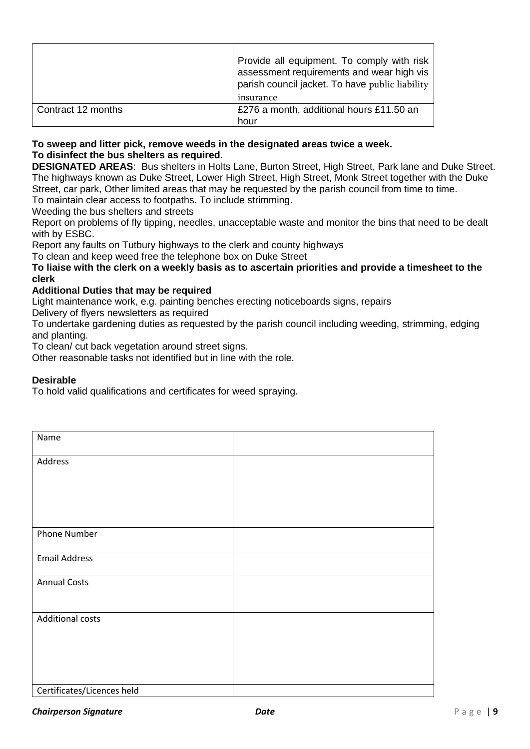|                    | Provide all equipment. To comply with risk<br>assessment requirements and wear high vis<br>parish council jacket. To have public liability<br>insurance |
|--------------------|---------------------------------------------------------------------------------------------------------------------------------------------------------|
| Contract 12 months | £276 a month, additional hours £11.50 an<br>hour                                                                                                        |

#### **To sweep and litter pick, remove weeds in the designated areas twice a week. To disinfect the bus shelters as required.**

**DESIGNATED AREAS**: Bus shelters in Holts Lane, Burton Street, High Street, Park lane and Duke Street. The highways known as Duke Street, Lower High Street, High Street, Monk Street together with the Duke Street, car park, Other limited areas that may be requested by the parish council from time to time. To maintain clear access to footpaths. To include strimming.

Weeding the bus shelters and streets

Report on problems of fly tipping, needles, unacceptable waste and monitor the bins that need to be dealt with by ESBC.

Report any faults on Tutbury highways to the clerk and county highways

To clean and keep weed free the telephone box on Duke Street

#### **To liaise with the clerk on a weekly basis as to ascertain priorities and provide a timesheet to the clerk**

#### **Additional Duties that may be required**

Light maintenance work, e.g. painting benches erecting noticeboards signs, repairs

Delivery of flyers newsletters as required

To undertake gardening duties as requested by the parish council including weeding, strimming, edging and planting.

To clean/ cut back vegetation around street signs.

Other reasonable tasks not identified but in line with the role.

#### **Desirable**

To hold valid qualifications and certificates for weed spraying.

| Name                       |  |
|----------------------------|--|
| Address                    |  |
|                            |  |
|                            |  |
|                            |  |
| Phone Number               |  |
| <b>Email Address</b>       |  |
| <b>Annual Costs</b>        |  |
|                            |  |
| Additional costs           |  |
|                            |  |
|                            |  |
|                            |  |
| Certificates/Licences held |  |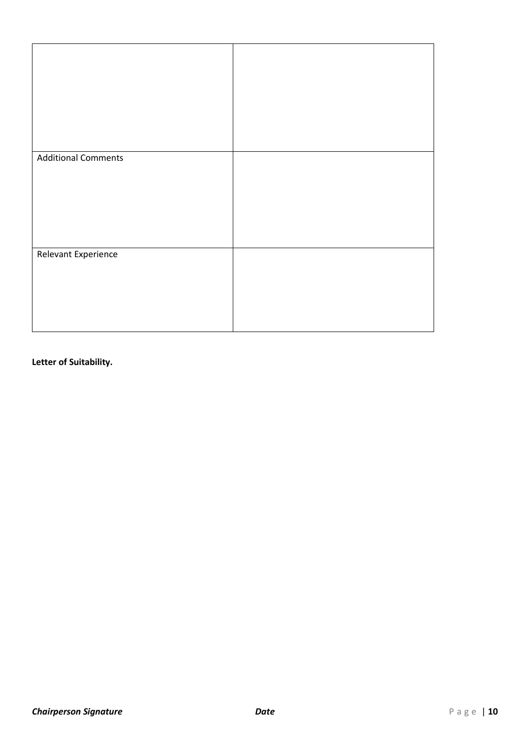| <b>Additional Comments</b> |  |
|----------------------------|--|
|                            |  |
|                            |  |
|                            |  |
|                            |  |
|                            |  |
|                            |  |
|                            |  |
|                            |  |
|                            |  |
|                            |  |
|                            |  |
|                            |  |
|                            |  |
|                            |  |
|                            |  |
|                            |  |
|                            |  |
|                            |  |
|                            |  |
|                            |  |
|                            |  |
| <b>Relevant Experience</b> |  |
|                            |  |
|                            |  |
|                            |  |
|                            |  |
|                            |  |
|                            |  |
|                            |  |
|                            |  |
|                            |  |
|                            |  |
|                            |  |
|                            |  |
|                            |  |
|                            |  |
|                            |  |
|                            |  |
|                            |  |

## **Letter of Suitability.**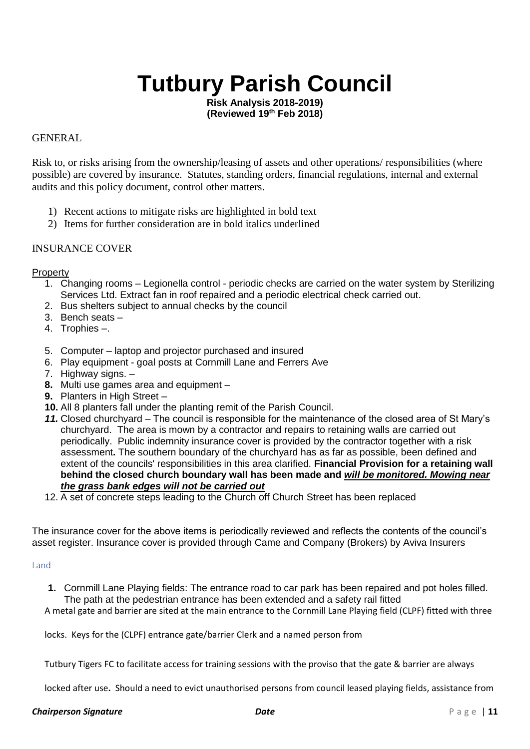# **Tutbury Parish Council**

**Risk Analysis 2018-2019) (Reviewed 19th Feb 2018)**

#### GENERAL

Risk to, or risks arising from the ownership/leasing of assets and other operations/ responsibilities (where possible) are covered by insurance. Statutes, standing orders, financial regulations, internal and external audits and this policy document, control other matters.

- 1) Recent actions to mitigate risks are highlighted in bold text
- 2) Items for further consideration are in bold italics underlined

#### INSURANCE COVER

#### **Property**

- 1. Changing rooms Legionella control periodic checks are carried on the water system by Sterilizing Services Ltd. Extract fan in roof repaired and a periodic electrical check carried out.
- 2. Bus shelters subject to annual checks by the council
- 3. Bench seats –
- 4. Trophies –.
- 5. Computer laptop and projector purchased and insured
- 6. Play equipment goal posts at Cornmill Lane and Ferrers Ave
- 7. Highway signs. –
- **8.** Multi use games area and equipment –
- **9.** Planters in High Street –
- **10.** All 8 planters fall under the planting remit of the Parish Council.
- *11.* Closed churchyard The council is responsible for the maintenance of the closed area of St Mary's churchyard. The area is mown by a contractor and repairs to retaining walls are carried out periodically. Public indemnity insurance cover is provided by the contractor together with a risk assessment**.** The southern boundary of the churchyard has as far as possible, been defined and extent of the councils' responsibilities in this area clarified. **Financial Provision for a retaining wall behind the closed church boundary wall has been made and** *will be monitored. Mowing near the grass bank edges will not be carried out*
- 12. A set of concrete steps leading to the Church off Church Street has been replaced

The insurance cover for the above items is periodically reviewed and reflects the contents of the council's asset register. Insurance cover is provided through Came and Company (Brokers) by Aviva Insurers

#### Land

**1.** Cornmill Lane Playing fields: The entrance road to car park has been repaired and pot holes filled. The path at the pedestrian entrance has been extended and a safety rail fitted

A metal gate and barrier are sited at the main entrance to the Cornmill Lane Playing field (CLPF) fitted with three

locks. Keys for the (CLPF) entrance gate/barrier Clerk and a named person from

Tutbury Tigers FC to facilitate access for training sessions with the proviso that the gate & barrier are always

locked after use**.** Should a need to evict unauthorised persons from council leased playing fields, assistance from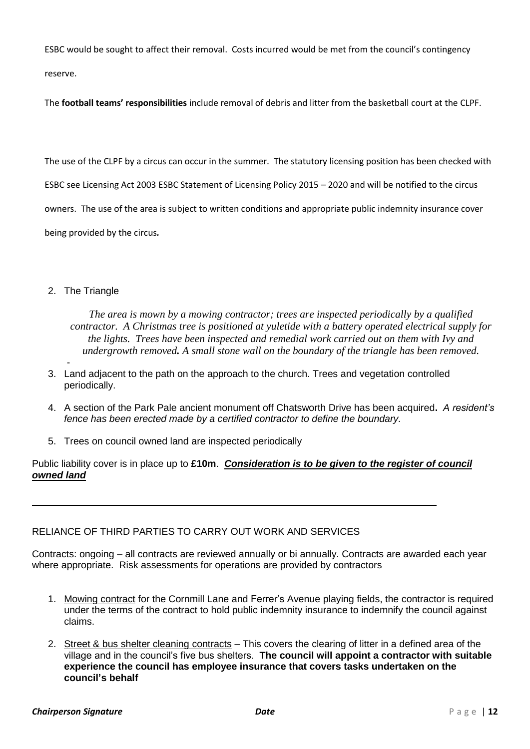ESBC would be sought to affect their removal. Costs incurred would be met from the council's contingency reserve.

The **football teams' responsibilities** include removal of debris and litter from the basketball court at the CLPF.

The use of the CLPF by a circus can occur in the summer. The statutory licensing position has been checked with

ESBC see Licensing Act 2003 ESBC Statement of Licensing Policy 2015 – 2020 and will be notified to the circus

owners. The use of the area is subject to written conditions and appropriate public indemnity insurance cover

being provided by the circus*.*

#### 2. The Triangle

*The area is mown by a mowing contractor; trees are inspected periodically by a qualified contractor. A Christmas tree is positioned at yuletide with a battery operated electrical supply for the lights. Trees have been inspected and remedial work carried out on them with Ivy and undergrowth removed. A small stone wall on the boundary of the triangle has been removed.*

- 3. Land adjacent to the path on the approach to the church. Trees and vegetation controlled periodically.
- 4. A section of the Park Pale ancient monument off Chatsworth Drive has been acquired**.** *A resident's fence has been erected made by a certified contractor to define the boundary.*
- 5. Trees on council owned land are inspected periodically

Public liability cover is in place up to **£10m**. *Consideration is to be given to the register of council owned land*

#### RELIANCE OF THIRD PARTIES TO CARRY OUT WORK AND SERVICES

Contracts: ongoing – all contracts are reviewed annually or bi annually. Contracts are awarded each year where appropriate. Risk assessments for operations are provided by contractors

- 1. Mowing contract for the Cornmill Lane and Ferrer's Avenue playing fields, the contractor is required under the terms of the contract to hold public indemnity insurance to indemnify the council against claims.
- 2. Street & bus shelter cleaning contracts This covers the clearing of litter in a defined area of the village and in the council's five bus shelters. **The council will appoint a contractor with suitable experience the council has employee insurance that covers tasks undertaken on the council's behalf**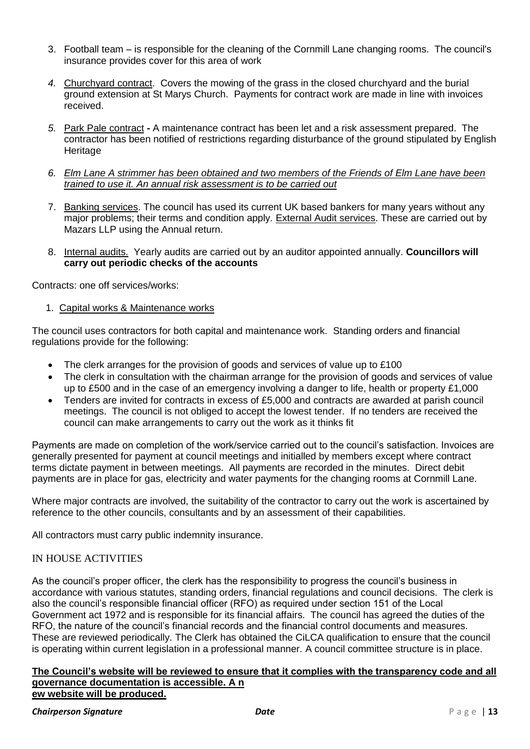- 3. Football team is responsible for the cleaning of the Cornmill Lane changing rooms. The council's insurance provides cover for this area of work
- *4.* Churchyard contract. Covers the mowing of the grass in the closed churchyard and the burial ground extension at St Marys Church. Payments for contract work are made in line with invoices received.
- *5.* Park Pale contract **-** A maintenance contract has been let and a risk assessment prepared. The contractor has been notified of restrictions regarding disturbance of the ground stipulated by English **Heritage**
- *6. Elm Lane A strimmer has been obtained and two members of the Friends of Elm Lane have been trained to use it. An annual risk assessment is to be carried out*
- 7. Banking services. The council has used its current UK based bankers for many years without any major problems; their terms and condition apply. External Audit services. These are carried out by Mazars LLP using the Annual return.
- 8. Internal audits. Yearly audits are carried out by an auditor appointed annually. **Councillors will carry out periodic checks of the accounts**

Contracts: one off services/works:

1. Capital works & Maintenance works

The council uses contractors for both capital and maintenance work. Standing orders and financial regulations provide for the following:

- The clerk arranges for the provision of goods and services of value up to £100
- The clerk in consultation with the chairman arrange for the provision of goods and services of value up to £500 and in the case of an emergency involving a danger to life, health or property £1,000
- Tenders are invited for contracts in excess of £5,000 and contracts are awarded at parish council meetings. The council is not obliged to accept the lowest tender. If no tenders are received the council can make arrangements to carry out the work as it thinks fit

Payments are made on completion of the work/service carried out to the council's satisfaction. Invoices are generally presented for payment at council meetings and initialled by members except where contract terms dictate payment in between meetings. All payments are recorded in the minutes. Direct debit payments are in place for gas, electricity and water payments for the changing rooms at Cornmill Lane.

Where major contracts are involved, the suitability of the contractor to carry out the work is ascertained by reference to the other councils, consultants and by an assessment of their capabilities.

All contractors must carry public indemnity insurance.

#### IN HOUSE ACTIVITIES

As the council's proper officer, the clerk has the responsibility to progress the council's business in accordance with various statutes, standing orders, financial regulations and council decisions. The clerk is also the council's responsible financial officer (RFO) as required under section 151 of the Local Government act 1972 and is responsible for its financial affairs. The council has agreed the duties of the RFO, the nature of the council's financial records and the financial control documents and measures. These are reviewed periodically. The Clerk has obtained the CiLCA qualification to ensure that the council is operating within current legislation in a professional manner. A council committee structure is in place.

#### **The Council's website will be reviewed to ensure that it complies with the transparency code and all governance documentation is accessible. A n ew website will be produced.**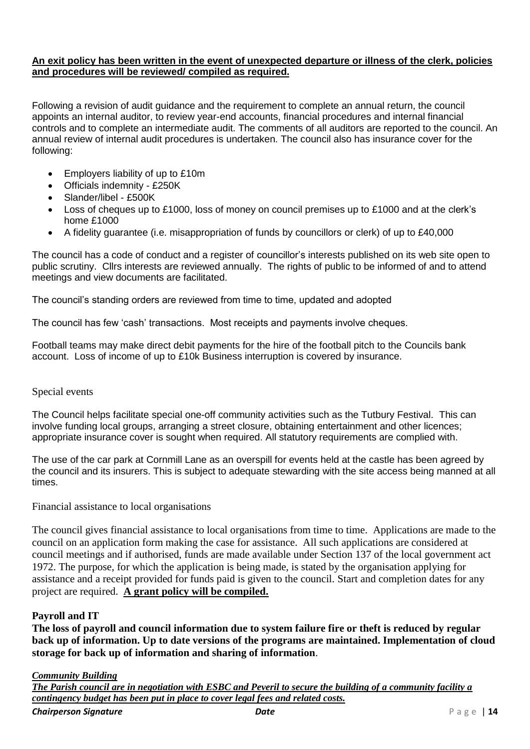#### **An exit policy has been written in the event of unexpected departure or illness of the clerk, policies and procedures will be reviewed/ compiled as required.**

Following a revision of audit guidance and the requirement to complete an annual return, the council appoints an internal auditor, to review year-end accounts, financial procedures and internal financial controls and to complete an intermediate audit. The comments of all auditors are reported to the council. An annual review of internal audit procedures is undertaken. The council also has insurance cover for the following:

- Employers liability of up to £10m
- Officials indemnity £250K
- Slander/libel £500K
- Loss of cheques up to £1000, loss of money on council premises up to £1000 and at the clerk's home £1000
- A fidelity guarantee (i.e. misappropriation of funds by councillors or clerk) of up to £40,000

The council has a code of conduct and a register of councillor's interests published on its web site open to public scrutiny. Cllrs interests are reviewed annually. The rights of public to be informed of and to attend meetings and view documents are facilitated.

The council's standing orders are reviewed from time to time, updated and adopted

The council has few 'cash' transactions. Most receipts and payments involve cheques.

Football teams may make direct debit payments for the hire of the football pitch to the Councils bank account. Loss of income of up to £10k Business interruption is covered by insurance.

#### Special events

The Council helps facilitate special one-off community activities such as the Tutbury Festival. This can involve funding local groups, arranging a street closure, obtaining entertainment and other licences; appropriate insurance cover is sought when required. All statutory requirements are complied with.

The use of the car park at Cornmill Lane as an overspill for events held at the castle has been agreed by the council and its insurers. This is subject to adequate stewarding with the site access being manned at all times.

Financial assistance to local organisations

The council gives financial assistance to local organisations from time to time. Applications are made to the council on an application form making the case for assistance. All such applications are considered at council meetings and if authorised, funds are made available under Section 137 of the local government act 1972. The purpose, for which the application is being made, is stated by the organisation applying for assistance and a receipt provided for funds paid is given to the council. Start and completion dates for any project are required. **A grant policy will be compiled.** 

#### **Payroll and IT**

**The loss of payroll and council information due to system failure fire or theft is reduced by regular back up of information. Up to date versions of the programs are maintained. Implementation of cloud storage for back up of information and sharing of information**.

#### *Community Building*

*The Parish council are in negotiation with ESBC and Peveril to secure the building of a community facility a contingency budget has been put in place to cover legal fees and related costs.*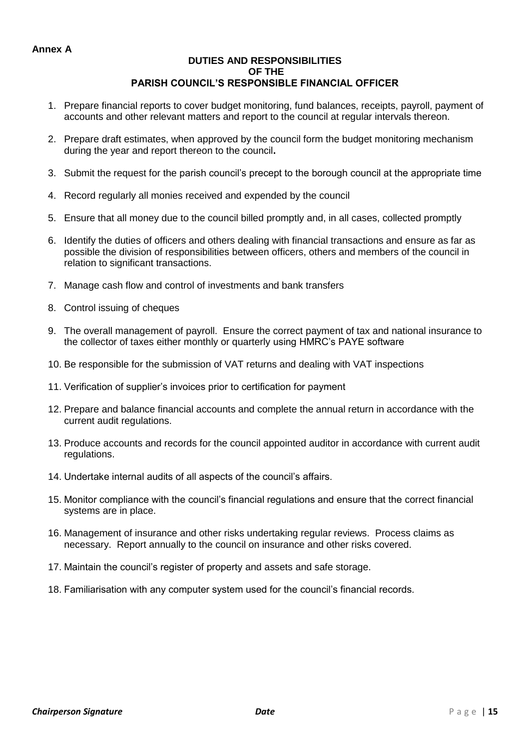#### **Annex A**

#### **DUTIES AND RESPONSIBILITIES OF THE PARISH COUNCIL'S RESPONSIBLE FINANCIAL OFFICER**

- 1. Prepare financial reports to cover budget monitoring, fund balances, receipts, payroll, payment of accounts and other relevant matters and report to the council at regular intervals thereon.
- 2. Prepare draft estimates, when approved by the council form the budget monitoring mechanism during the year and report thereon to the council**.**
- 3. Submit the request for the parish council's precept to the borough council at the appropriate time
- 4. Record regularly all monies received and expended by the council
- 5. Ensure that all money due to the council billed promptly and, in all cases, collected promptly
- 6. Identify the duties of officers and others dealing with financial transactions and ensure as far as possible the division of responsibilities between officers, others and members of the council in relation to significant transactions.
- 7. Manage cash flow and control of investments and bank transfers
- 8. Control issuing of cheques
- 9. The overall management of payroll. Ensure the correct payment of tax and national insurance to the collector of taxes either monthly or quarterly using HMRC's PAYE software
- 10. Be responsible for the submission of VAT returns and dealing with VAT inspections
- 11. Verification of supplier's invoices prior to certification for payment
- 12. Prepare and balance financial accounts and complete the annual return in accordance with the current audit regulations.
- 13. Produce accounts and records for the council appointed auditor in accordance with current audit regulations.
- 14. Undertake internal audits of all aspects of the council's affairs.
- 15. Monitor compliance with the council's financial regulations and ensure that the correct financial systems are in place.
- 16. Management of insurance and other risks undertaking regular reviews. Process claims as necessary. Report annually to the council on insurance and other risks covered.
- 17. Maintain the council's register of property and assets and safe storage.
- 18. Familiarisation with any computer system used for the council's financial records.